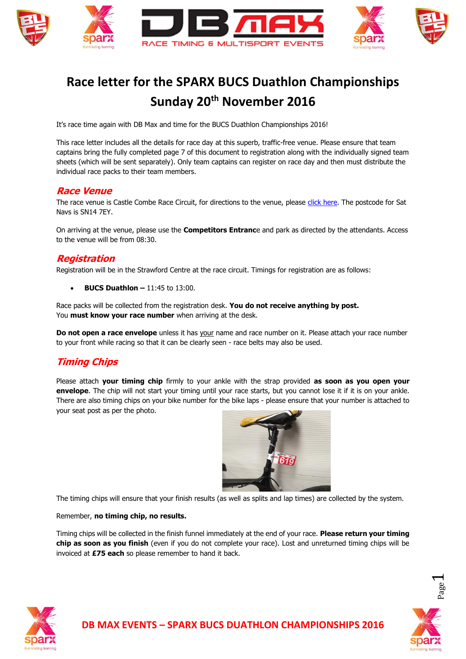

# **Race letter for the SPARX BUCS Duathlon Championships Sunday 20th November 2016**

It's race time again with DB Max and time for the BUCS Duathlon Championships 2016!

This race letter includes all the details for race day at this superb, traffic-free venue. Please ensure that team captains bring the fully completed page 7 of this document to registration along with the individually signed team sheets (which will be sent separately). Only team captains can register on race day and then must distribute the individual race packs to their team members.

#### **Race Venue**

The race venue is Castle Combe Race Circuit, for directions to the venue, please [click here.](http://www.castlecombecircuit.co.uk/contact/howtofindus.asp) The postcode for Sat Navs is SN14 7EY.

On arriving at the venue, please use the **Competitors Entranc**e and park as directed by the attendants. Access to the venue will be from 08:30.

#### **Registration**

Registration will be in the Strawford Centre at the race circuit. Timings for registration are as follows:

**BUCS Duathlon –** 11:45 to 13:00.

Race packs will be collected from the registration desk. **You do not receive anything by post.** You **must know your race number** when arriving at the desk.

**Do not open a race envelope** unless it has your name and race number on it. Please attach your race number to your front while racing so that it can be clearly seen - race belts may also be used.

#### **Timing Chips**

Please attach **your timing chip** firmly to your ankle with the strap provided **as soon as you open your envelope**. The chip will not start your timing until your race starts, but you cannot lose it if it is on your ankle. There are also timing chips on your bike number for the bike laps - please ensure that your number is attached to your seat post as per the photo.



The timing chips will ensure that your finish results (as well as splits and lap times) are collected by the system.

#### Remember, **no timing chip, no results.**

Timing chips will be collected in the finish funnel immediately at the end of your race. **Please return your timing chip as soon as you finish** (even if you do not complete your race). Lost and unreturned timing chips will be invoiced at **£75 each** so please remember to hand it back.



 $\overline{\phantom{0}}$ 

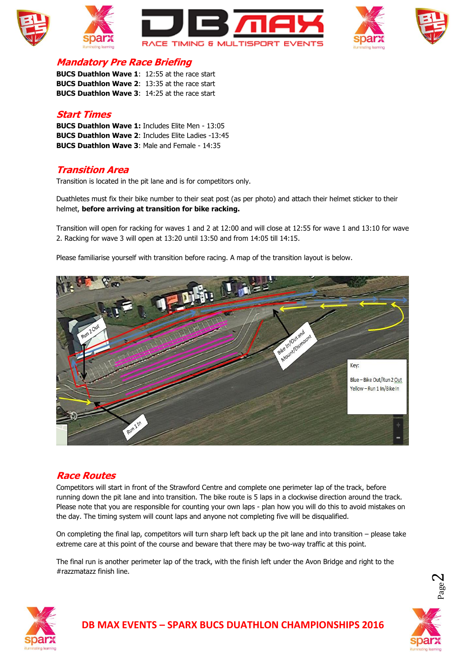







## **Mandatory Pre Race Briefing**

**BUCS Duathlon Wave 1**: 12:55 at the race start **BUCS Duathlon Wave 2**: 13:35 at the race start **BUCS Duathlon Wave 3**: 14:25 at the race start

#### **Start Times**

**BUCS Duathlon Wave 1:** Includes Elite Men - 13:05 **BUCS Duathlon Wave 2**: Includes Elite Ladies -13:45 **BUCS Duathlon Wave 3**: Male and Female - 14:35

## **Transition Area**

Transition is located in the pit lane and is for competitors only.

Duathletes must fix their bike number to their seat post (as per photo) and attach their helmet sticker to their helmet, **before arriving at transition for bike racking.**

Transition will open for racking for waves 1 and 2 at 12:00 and will close at 12:55 for wave 1 and 13:10 for wave 2. Racking for wave 3 will open at 13:20 until 13:50 and from 14:05 till 14:15.

Please familiarise yourself with transition before racing. A map of the transition layout is below.



#### **Race Routes**

Competitors will start in front of the Strawford Centre and complete one perimeter lap of the track, before running down the pit lane and into transition. The bike route is 5 laps in a clockwise direction around the track. Please note that you are responsible for counting your own laps - plan how you will do this to avoid mistakes on the day. The timing system will count laps and anyone not completing five will be disqualified.

On completing the final lap, competitors will turn sharp left back up the pit lane and into transition – please take extreme care at this point of the course and beware that there may be two-way traffic at this point.

The final run is another perimeter lap of the track, with the finish left under the Avon Bridge and right to the #razzmatazz finish line.



 $\boldsymbol{\sim}$ 

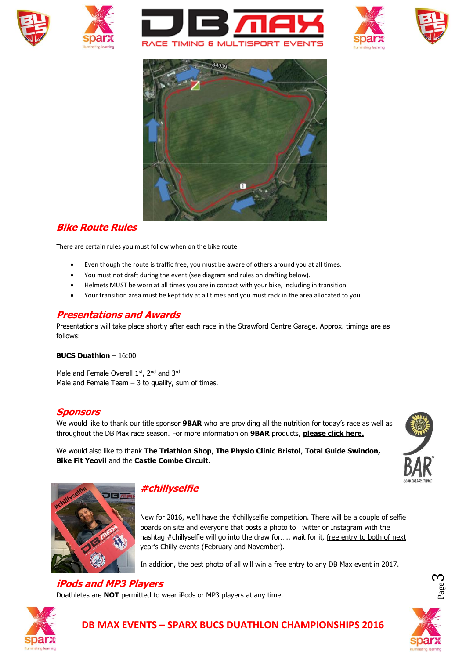











#### **Bike Route Rules**

There are certain rules you must follow when on the bike route.

- Even though the route is traffic free, you must be aware of others around you at all times.
- You must not draft during the event (see diagram and rules on drafting below).
- Helmets MUST be worn at all times you are in contact with your bike, including in transition.
- Your transition area must be kept tidy at all times and you must rack in the area allocated to you.

## **Presentations and Awards**

Presentations will take place shortly after each race in the Strawford Centre Garage. Approx. timings are as follows:

#### **BUCS Duathlon** – 16:00

Male and Female Overall 1st, 2<sup>nd</sup> and 3<sup>rd</sup> Male and Female Team  $-3$  to qualify, sum of times.

#### **Sponsors**

We would like to thank our title sponsor **9BAR** who are providing all the nutrition for today's race as well as throughout the DB Max race season. For more information on **9BAR** products, **[please click here.](http://www.9bar.com/about-9bar)**

We would also like to thank **The Triathlon Shop**, **The Physio Clinic Bristol**, **Total Guide Swindon, Bike Fit Yeovil** and the **Castle Combe Circuit**.





#### **#chillyselfie**

New for 2016, we'll have the #chillyselfie competition. There will be a couple of selfie boards on site and everyone that posts a photo to Twitter or Instagram with the hashtag #chillyselfie will go into the draw for..... wait for it, free entry to both of next year's Chilly events (February and November).

In addition, the best photo of all will win a free entry to any DB Max event in 2017.

## **iPods and MP3 Players**

Duathletes are **NOT** permitted to wear iPods or MP3 players at any time.



 $\infty$ 



# **DB MAX EVENTS – SPARX BUCS DUATHLON CHAMPIONSHIPS 2016**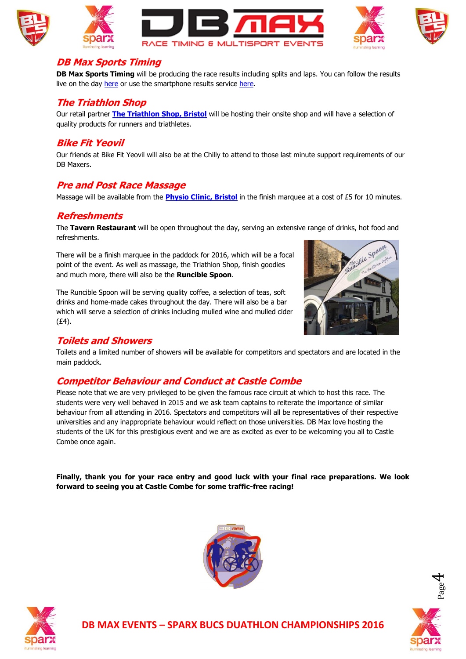







#### **DB Max Sports Timing**

**DB Max Sports Timing** will be producing the race results including splits and laps. You can follow the results live on the day [here](http://dbmax.racetecresults.com/results.aspx?CId=16421&RId=2116) or use the smartphone results service [here.](http://m.racetecresults.com/Search.aspx?R=1899)

# **The Triathlon Shop**

Our retail partner **[The Triathlon Shop, Bristol](http://www.thetriathlonshop.co.uk/)** will be hosting their onsite shop and will have a selection of quality products for runners and triathletes.

## **Bike Fit Yeovil**

Our friends at Bike Fit Yeovil will also be at the Chilly to attend to those last minute support requirements of our DB Maxers.

## **Pre and Post Race Massage**

Massage will be available from the **[Physio Clinic, Bristol](http://www.thephysioclinicbristol.co.uk/)** in the finish marquee at a cost of £5 for 10 minutes.

# **Refreshments**

The **Tavern Restaurant** will be open throughout the day, serving an extensive range of drinks, hot food and refreshments.

There will be a finish marquee in the paddock for 2016, which will be a focal point of the event. As well as massage, the Triathlon Shop, finish goodies and much more, there will also be the **Runcible Spoon**.

The Runcible Spoon will be serving quality coffee, a selection of teas, soft drinks and home-made cakes throughout the day. There will also be a bar which will serve a selection of drinks including mulled wine and mulled cider (£4).



## **Toilets and Showers**

Toilets and a limited number of showers will be available for competitors and spectators and are located in the main paddock.

# **Competitor Behaviour and Conduct at Castle Combe**

Please note that we are very privileged to be given the famous race circuit at which to host this race. The students were very well behaved in 2015 and we ask team captains to reiterate the importance of similar behaviour from all attending in 2016. Spectators and competitors will all be representatives of their respective universities and any inappropriate behaviour would reflect on those universities. DB Max love hosting the students of the UK for this prestigious event and we are as excited as ever to be welcoming you all to Castle Combe once again.

**Finally, thank you for your race entry and good luck with your final race preparations. We look forward to seeing you at Castle Combe for some traffic-free racing!**





4

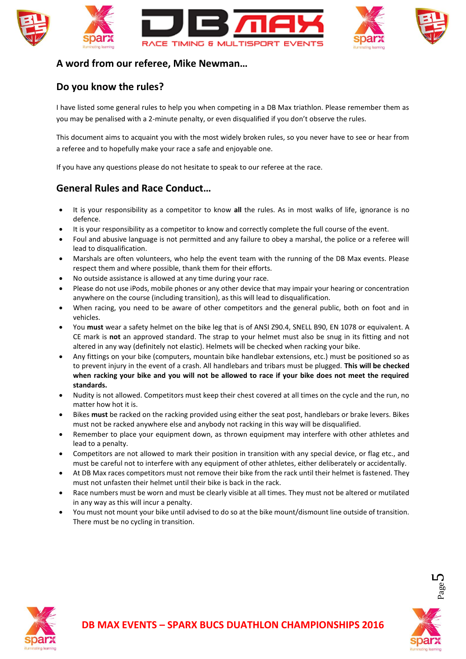





## **A word from our referee, Mike Newman…**

## **Do you know the rules?**

I have listed some general rules to help you when competing in a DB Max triathlon. Please remember them as you may be penalised with a 2-minute penalty, or even disqualified if you don't observe the rules.

This document aims to acquaint you with the most widely broken rules, so you never have to see or hear from a referee and to hopefully make your race a safe and enjoyable one.

If you have any questions please do not hesitate to speak to our referee at the race.

# **General Rules and Race Conduct…**

- It is your responsibility as a competitor to know **all** the rules. As in most walks of life, ignorance is no defence.
- It is your responsibility as a competitor to know and correctly complete the full course of the event.
- Foul and abusive language is not permitted and any failure to obey a marshal, the police or a referee will lead to disqualification.
- Marshals are often volunteers, who help the event team with the running of the DB Max events. Please respect them and where possible, thank them for their efforts.
- No outside assistance is allowed at any time during your race.
- Please do not use iPods, mobile phones or any other device that may impair your hearing or concentration anywhere on the course (including transition), as this will lead to disqualification.
- When racing, you need to be aware of other competitors and the general public, both on foot and in vehicles.
- You **must** wear a safety helmet on the bike leg that is of ANSI Z90.4, SNELL B90, EN 1078 or equivalent. A CE mark is **not** an approved standard. The strap to your helmet must also be snug in its fitting and not altered in any way (definitely not elastic). Helmets will be checked when racking your bike.
- Any fittings on your bike (computers, mountain bike handlebar extensions, etc.) must be positioned so as to prevent injury in the event of a crash. All handlebars and tribars must be plugged. **This will be checked when racking your bike and you will not be allowed to race if your bike does not meet the required standards.**
- Nudity is not allowed. Competitors must keep their chest covered at all times on the cycle and the run, no matter how hot it is.
- Bikes **must** be racked on the racking provided using either the seat post, handlebars or brake levers. Bikes must not be racked anywhere else and anybody not racking in this way will be disqualified.
- Remember to place your equipment down, as thrown equipment may interfere with other athletes and lead to a penalty.
- Competitors are not allowed to mark their position in transition with any special device, or flag etc., and must be careful not to interfere with any equipment of other athletes, either deliberately or accidentally.
- At DB Max races competitors must not remove their bike from the rack until their helmet is fastened. They must not unfasten their helmet until their bike is back in the rack.
- Race numbers must be worn and must be clearly visible at all times. They must not be altered or mutilated in any way as this will incur a penalty.
- You must not mount your bike until advised to do so at the bike mount/dismount line outside of transition. There must be no cycling in transition.



ம

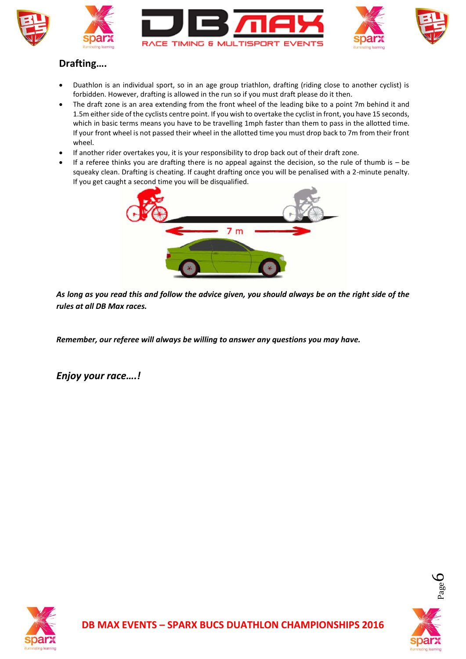

# **Drafting….**

- Duathlon is an individual sport, so in an age group triathlon, drafting (riding close to another cyclist) is forbidden. However, drafting is allowed in the run so if you must draft please do it then.
- The draft zone is an area extending from the front wheel of the leading bike to a point 7m behind it and 1.5m either side of the cyclists centre point. If you wish to overtake the cyclist in front, you have 15 seconds, which in basic terms means you have to be travelling 1mph faster than them to pass in the allotted time. If your front wheel is not passed their wheel in the allotted time you must drop back to 7m from their front wheel.
- If another rider overtakes you, it is your responsibility to drop back out of their draft zone.
- If a referee thinks you are drafting there is no appeal against the decision, so the rule of thumb is be squeaky clean. Drafting is cheating. If caught drafting once you will be penalised with a 2-minute penalty. If you get caught a second time you will be disqualified.



*As long as you read this and follow the advice given, you should always be on the right side of the rules at all DB Max races.*

*Remember, our referee will always be willing to answer any questions you may have.*

*Enjoy your race….!*



 $\infty$